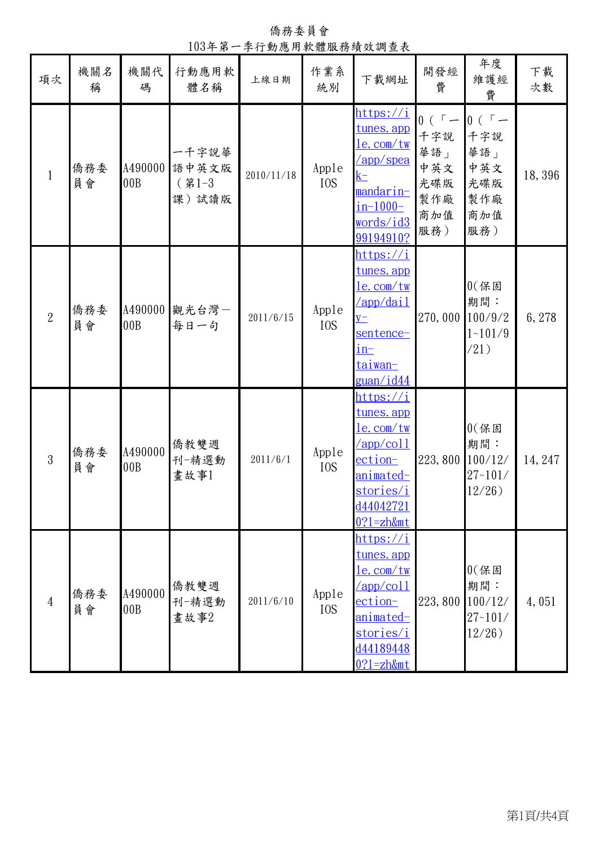僑務委員會 103年第一季行動應用軟體服務績效調查表 僑務委 員會 A490000 語中英文版 00B 一千字說華 (第1-3 課)試讀版  $2010/11/18$  Apple IOS [https://i](https://itunes.apple.com/tw/app/speak-mandarin-in-1000-words/id399194910?l=zh&mt=8) [tunes.app](https://itunes.apple.com/tw/app/speak-mandarin-in-1000-words/id399194910?l=zh&mt=8) [le.com/tw](https://itunes.apple.com/tw/app/speak-mandarin-in-1000-words/id399194910?l=zh&mt=8) [/app/spea](https://itunes.apple.com/tw/app/speak-mandarin-in-1000-words/id399194910?l=zh&mt=8)  $k$ [mandarin](https://itunes.apple.com/tw/app/speak-mandarin-in-1000-words/id399194910?l=zh&mt=8)[in-1000](https://itunes.apple.com/tw/app/speak-mandarin-in-1000-words/id399194910?l=zh&mt=8) [words/id3](https://itunes.apple.com/tw/app/speak-mandarin-in-1000-words/id399194910?l=zh&mt=8) [99194910?](https://itunes.apple.com/tw/app/speak-mandarin-in-1000-words/id399194910?l=zh&mt=8) https://i  $0($   $\sqrt{$   $-$ 千字說 華語」 中英文 光碟版 製作廠 商加值 服務)  $0($ 千字說 華語」 中英文 光碟版 製作廠 商加值 服務) 僑務委 員會 A490000<sup>1</sup> 00B 觀光台灣- 2011/6/15 Apple<br>每日一句 2011/6/15 IOS IOS [tunes.app](https://itunes.apple.com/tw/app/daily-sentence-in-taiwan-guan/id441042004?l=zh&mt=8) [le.com/tw](https://itunes.apple.com/tw/app/daily-sentence-in-taiwan-guan/id441042004?l=zh&mt=8) [/app/dail](https://itunes.apple.com/tw/app/daily-sentence-in-taiwan-guan/id441042004?l=zh&mt=8)  $y$ [sentence](https://itunes.apple.com/tw/app/daily-sentence-in-taiwan-guan/id441042004?l=zh&mt=8)[in](https://itunes.apple.com/tw/app/daily-sentence-in-taiwan-guan/id441042004?l=zh&mt=8)[taiwan](https://itunes.apple.com/tw/app/daily-sentence-in-taiwan-guan/id441042004?l=zh&mt=8)[guan/id44](https://itunes.apple.com/tw/app/daily-sentence-in-taiwan-guan/id441042004?l=zh&mt=8) [https://i](https://itunes.apple.com/tw/app/collection-animated-stories/id440427210?l=zh&mt=8) 270,000  $0$  $($ 保固 期間: 100/9/2 1~101/9 /21) [tunes.app](https://itunes.apple.com/tw/app/collection-animated-stories/id440427210?l=zh&mt=8) 年度 維護經 費 **- 項次 | 機關名 | 機關代 | 行動應用軟 | 上線日期 | 作業系 | 下載網址 | 開發經 | 沖 / 下載<br>項次 | 稱 | 碼 | 體名稱 | 上線日期 | 統別 | 下載網址 | 費 | 維護經 | 次數** 稱 機關代 碼 行動應用軟 體名稱 上線日期 作業系 作業系 下載網址 開發經 費

 $2011/6/1$  Apple

 $2011/6/10$  Apple

IOS

IOS

[le.com/tw](https://itunes.apple.com/tw/app/collection-animated-stories/id440427210?l=zh&mt=8) [/app/coll](https://itunes.apple.com/tw/app/collection-animated-stories/id440427210?l=zh&mt=8) [ection](https://itunes.apple.com/tw/app/collection-animated-stories/id440427210?l=zh&mt=8)[animated](https://itunes.apple.com/tw/app/collection-animated-stories/id440427210?l=zh&mt=8)[stories/i](https://itunes.apple.com/tw/app/collection-animated-stories/id440427210?l=zh&mt=8) [d44042721](https://itunes.apple.com/tw/app/collection-animated-stories/id440427210?l=zh&mt=8) [0?l=zh&mt](https://itunes.apple.com/tw/app/collection-animated-stories/id440427210?l=zh&mt=8) [https://i](https://itunes.apple.com/tw/app/collection-animated-stories/id441894480?l=zh&mt=8)

[tunes.app](https://itunes.apple.com/tw/app/collection-animated-stories/id441894480?l=zh&mt=8) [le.com/tw](https://itunes.apple.com/tw/app/collection-animated-stories/id441894480?l=zh&mt=8) [/app/coll](https://itunes.apple.com/tw/app/collection-animated-stories/id441894480?l=zh&mt=8) [ection](https://itunes.apple.com/tw/app/collection-animated-stories/id441894480?l=zh&mt=8)[animated](https://itunes.apple.com/tw/app/collection-animated-stories/id441894480?l=zh&mt=8)[stories/i](https://itunes.apple.com/tw/app/collection-animated-stories/id441894480?l=zh&mt=8) [d44189448](https://itunes.apple.com/tw/app/collection-animated-stories/id441894480?l=zh&mt=8) [0?l=zh&mt](https://itunes.apple.com/tw/app/collection-animated-stories/id441894480?l=zh&mt=8)

223,800

223,800

 $0$  $($  保固 期間: 100/12/ 27~101/ 12/26)

 $0$  $($  保固 期間: 100/12/ 27~101/ 12/26)

1

2

3

4

僑務委 員會

僑務委 員會

A490000

A490000 00B

僑教雙週 刊-精選動 畫故事1

僑教雙週 刊-精選動 畫故事2

00B

18,396

下載

6,278

14,247

4,051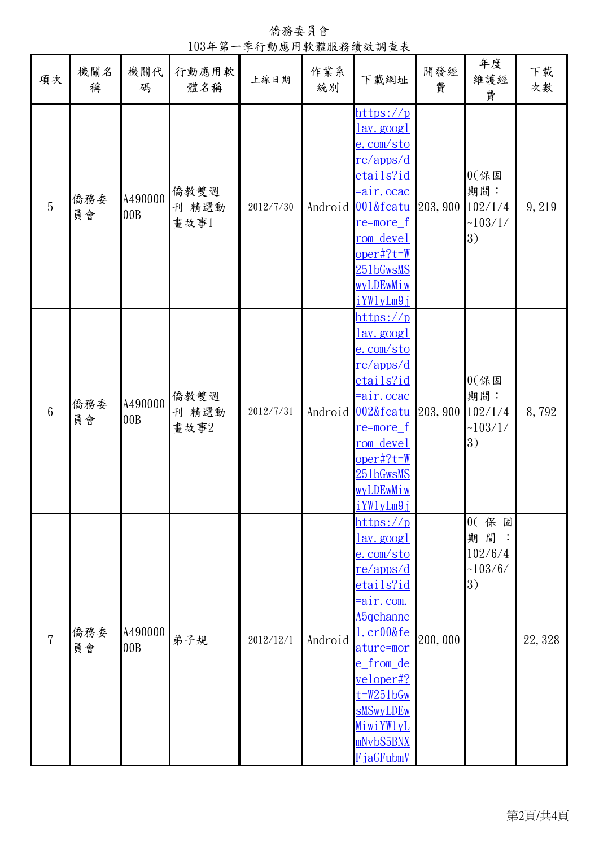年度 維護經 費 下載 **- 項次 | 機關名 | 機關代 | 行動應用軟 | 上線日期 | 作業系 | 下載網址 | 開發經 | 沖 / 下載<br>項次 | 稱 | 碼 | 體名稱 | 上線日期 | 統別 | 下載網址 | 費 | 維護經 | 次數** 稱 機關代 碼 行動應用軟 體名稱 上線日期 作業系 作業系 下載網址 開發經 費 5 僑務委 員會 A490000 00B 僑教雙週 刊-精選動 畫故事1 2012/7/30 Android [https://p](https://play.google.com/store/apps/details?id=air.ocac001&feature=more_from_developer) [lay.googl](https://play.google.com/store/apps/details?id=air.ocac001&feature=more_from_developer) [e.com/sto](https://play.google.com/store/apps/details?id=air.ocac001&feature=more_from_developer) [re/apps/d](https://play.google.com/store/apps/details?id=air.ocac001&feature=more_from_developer) [etails?id](https://play.google.com/store/apps/details?id=air.ocac001&feature=more_from_developer) [=air.ocac](https://play.google.com/store/apps/details?id=air.ocac001&feature=more_from_developer) [001&featu](https://play.google.com/store/apps/details?id=air.ocac001&feature=more_from_developer) [re=more\\_f](https://play.google.com/store/apps/details?id=air.ocac001&feature=more_from_developer) [rom\\_devel](https://play.google.com/store/apps/details?id=air.ocac001&feature=more_from_developer) [oper#?t=W](https://play.google.com/store/apps/details?id=air.ocac001&feature=more_from_developer) [251bGwsMS](https://play.google.com/store/apps/details?id=air.ocac001&feature=more_from_developer) [wyLDEwMiw](https://play.google.com/store/apps/details?id=air.ocac001&feature=more_from_developer) [iYWlyLm9j](https://play.google.com/store/apps/details?id=air.ocac001&feature=more_from_developer) https://p 203,900  $0$  $($  保固 期間: 102/1/4  $~103/1/$ 3) 9,219 6 僑務委 員會 A490000 00B 僑教雙週 刊-精選動 畫故事2 2012/7/31 Android  $lay.$ googl [e.com/sto](https://play.google.com/store/apps/details?id=air.ocac002&feature=more_from_developer) [re/apps/d](https://play.google.com/store/apps/details?id=air.ocac002&feature=more_from_developer) [etails?id](https://play.google.com/store/apps/details?id=air.ocac002&feature=more_from_developer) [=air.ocac](https://play.google.com/store/apps/details?id=air.ocac002&feature=more_from_developer) [002&featu](https://play.google.com/store/apps/details?id=air.ocac002&feature=more_from_developer) [re=more\\_f](https://play.google.com/store/apps/details?id=air.ocac002&feature=more_from_developer) [rom\\_devel](https://play.google.com/store/apps/details?id=air.ocac002&feature=more_from_developer) [oper#?t=W](https://play.google.com/store/apps/details?id=air.ocac002&feature=more_from_developer) [251bGwsMS](https://play.google.com/store/apps/details?id=air.ocac002&feature=more_from_developer) [wyLDEwMiw](https://play.google.com/store/apps/details?id=air.ocac002&feature=more_from_developer) iYWlvLm9i https://p 203,900  $0$  $($  保 固 期間: 102/1/4  $~103/1/$ 3) 8,792 7 僑務委 員會 A490000 n490000 弟子規 2012/12/1 Android [lay.googl](https://play.google.com/store/apps/details?id=air.com.A5qchannel.cr00&feature=more_from_developer) [e.com/sto](https://play.google.com/store/apps/details?id=air.com.A5qchannel.cr00&feature=more_from_developer) [re/apps/d](https://play.google.com/store/apps/details?id=air.com.A5qchannel.cr00&feature=more_from_developer) [etails?id](https://play.google.com/store/apps/details?id=air.com.A5qchannel.cr00&feature=more_from_developer)  $=$ air.com. [A5qchanne](https://play.google.com/store/apps/details?id=air.com.A5qchannel.cr00&feature=more_from_developer) [l.cr00&fe](https://play.google.com/store/apps/details?id=air.com.A5qchannel.cr00&feature=more_from_developer) [ature=mor](https://play.google.com/store/apps/details?id=air.com.A5qchannel.cr00&feature=more_from_developer) [e\\_from\\_de](https://play.google.com/store/apps/details?id=air.com.A5qchannel.cr00&feature=more_from_developer) [veloper#?](https://play.google.com/store/apps/details?id=air.com.A5qchannel.cr00&feature=more_from_developer) [t=W251bGw](https://play.google.com/store/apps/details?id=air.com.A5qchannel.cr00&feature=more_from_developer) [sMSwyLDEw](https://play.google.com/store/apps/details?id=air.com.A5qchannel.cr00&feature=more_from_developer) [MiwiYWlyL](https://play.google.com/store/apps/details?id=air.com.A5qchannel.cr00&feature=more_from_developer) [mNvbS5BNX](https://play.google.com/store/apps/details?id=air.com.A5qchannel.cr00&feature=more_from_developer) [FjaGFubmV](https://play.google.com/store/apps/details?id=air.com.A5qchannel.cr00&feature=more_from_developer) 200,000 0( 保 固 期 間 : 102/6/4  $~103/6/$ 3) 22,328

僑務委員會 103年第一季行動應用軟體服務績效調查表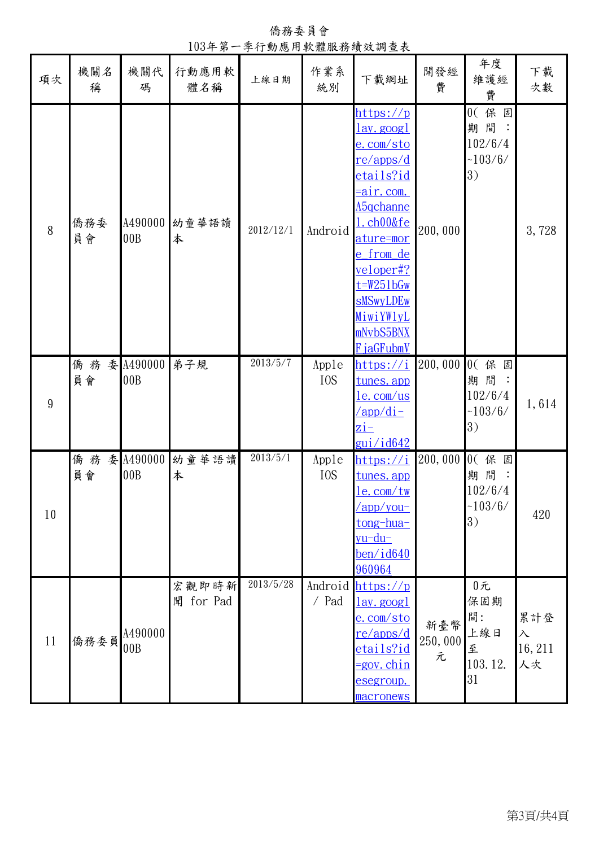| 項次 | 機關名<br>稱  | 機關代<br>碼         | 行動應用軟<br>體名稱          | 上線日期      | 作業系<br>統別                 | 下載網址                                                                                                                                                                                                                                                        | 開發經<br>費            | 年度<br>維護經<br>費                                                 | 下載<br>次數                          |
|----|-----------|------------------|-----------------------|-----------|---------------------------|-------------------------------------------------------------------------------------------------------------------------------------------------------------------------------------------------------------------------------------------------------------|---------------------|----------------------------------------------------------------|-----------------------------------|
| 8  | 僑務委<br>員會 | A490000<br>00B   | 幼童華語讀<br>本            | 2012/12/1 | Android                   | <u> https://p</u><br>lay.googl<br>e.com/sto<br><u>re/apps/d</u><br><u>etails?id</u><br><u>=air.com.</u><br><u>A5qchanne</u><br>.ch00&fe<br>ature=mor<br>e from de<br>veloper#?<br>$t = W251bGw$<br><b>sMSwyLDEw</b><br>MiwiYW1yL<br>mNvbS5BNX<br>F jaGFubmV | 200,000             | 0(保固<br>期間<br>$\ddot{\phantom{a}}$<br>102/6/4<br>~103/6/<br>3) | 3,728                             |
| 9  | 僑務<br>員會  | 委 A490000<br>00B | 弟子規                   | 2013/5/7  | Apple<br>I <sub>0</sub> S | https://i<br>tunes.app<br><u>le.com/us</u><br>/app/di-<br>$\overline{zi}$ -<br><u>gui/id642</u>                                                                                                                                                             | 200,000             | 0(保固<br>期間<br>102/6/4<br>~103/6/<br>3)                         | 1,614                             |
| 10 | 僑務<br>員會  | 委 A490000<br>00B | 幼童華語讀<br>本            | 2013/5/1  | Apple<br>I <sub>0</sub> S | <u> https://i</u><br><u>tunes.app</u><br><u>le.com/tw</u><br>/app/you-<br><u>tong-hua-</u><br><u>vu-du-</u><br><u>ben/id640</u><br>960964                                                                                                                   | 200,000             | 0(保<br>固<br>期間:<br>102/6/4<br>~103/6/<br>3)                    | 420                               |
| 11 | 僑務委員      | A490000<br>00B   | 宏觀即時新<br>for Pad<br>聞 | 2013/5/28 | / Pad                     | Android https://p<br><u>lay.googl</u><br>e.com/sto<br><u>re/apps/d</u><br><u>etails?id</u><br><u>=gov.chin</u><br>esegroup.<br>macronews                                                                                                                    | 新臺幣<br>250,000<br>元 | $0$ 元<br>保固期<br>間:<br>上線日<br>至<br>103.12.<br>31                | 累計登<br>$\lambda$<br>16, 211<br>人次 |

僑務委員會 103年第一季行動應用軟體服務績效調查表